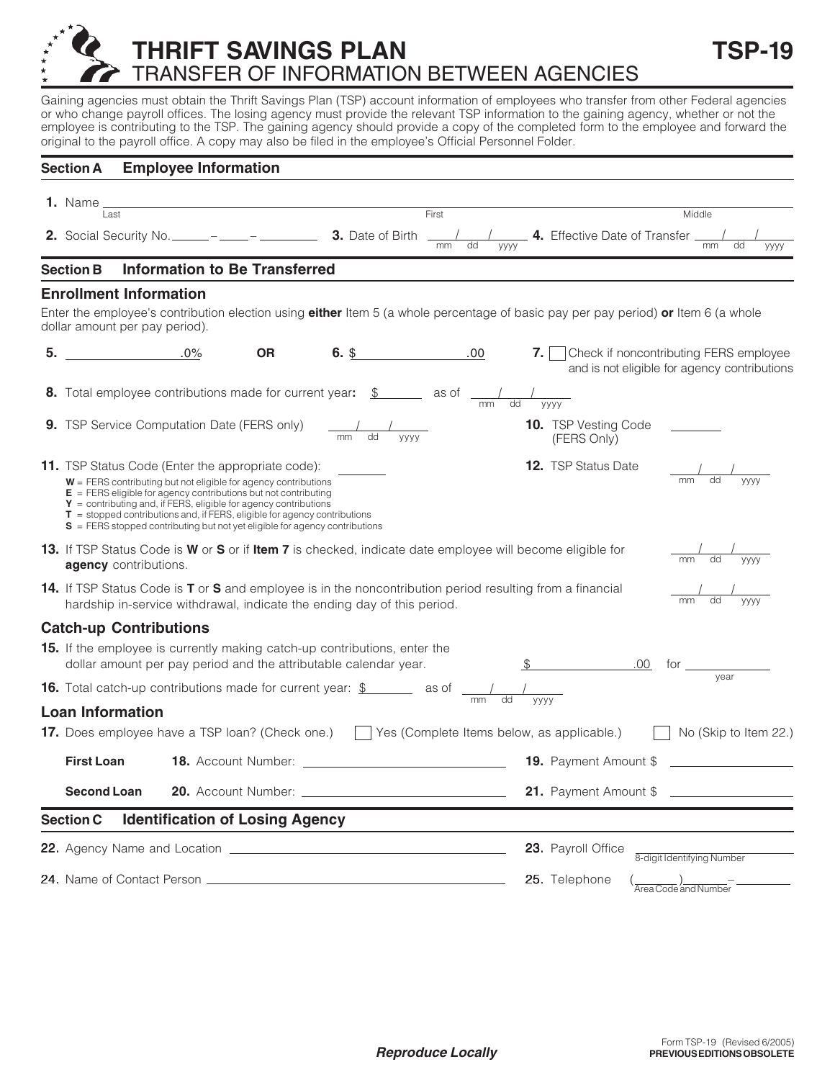## **THRIFT SAVINGS PLAN TSP-19** TRANSFER OF INFORMATION BETWEEN AGENCIES

Gaining agencies must obtain the Thrift Savings Plan (TSP) account information of employees who transfer from other Federal agencies or who change payroll offices. The losing agency must provide the relevant TSP information to the gaining agency, whether or not the employee is contributing to the TSP. The gaining agency should provide a copy of the completed form to the employee and forward the original to the payroll office. A copy may also be filed in the employee's Official Personnel Folder.

|    | <b>Section A</b>                                                                                                                                                                             | <b>Employee Information</b>                                                                                                                                                                                                                                                                                                                                                                                                              |                                                                                                                               |                                                                                                                                    |                  |                                                  |                                                                                             |                              |            |  |
|----|----------------------------------------------------------------------------------------------------------------------------------------------------------------------------------------------|------------------------------------------------------------------------------------------------------------------------------------------------------------------------------------------------------------------------------------------------------------------------------------------------------------------------------------------------------------------------------------------------------------------------------------------|-------------------------------------------------------------------------------------------------------------------------------|------------------------------------------------------------------------------------------------------------------------------------|------------------|--------------------------------------------------|---------------------------------------------------------------------------------------------|------------------------------|------------|--|
|    | <b>1.</b> Name _<br>Last                                                                                                                                                                     |                                                                                                                                                                                                                                                                                                                                                                                                                                          | <u> 1980 - Johann Barn, mars ann an t-Amhain Aonaich an t-Aonaich an t-Aonaich ann an t-Aonaich ann an t-Aonaich</u><br>First |                                                                                                                                    |                  | Middle                                           |                                                                                             |                              |            |  |
|    |                                                                                                                                                                                              |                                                                                                                                                                                                                                                                                                                                                                                                                                          |                                                                                                                               | <b>2.</b> Social Security No. ______ – _____ – _________ <b>3.</b> Date of Birth                                                   | mm<br>dd<br>уууу |                                                  | <b>4.</b> Effective Date of Transfer _                                                      | mm                           | dd<br>уууу |  |
|    | <b>Section B</b>                                                                                                                                                                             | <b>Information to Be Transferred</b>                                                                                                                                                                                                                                                                                                                                                                                                     |                                                                                                                               |                                                                                                                                    |                  |                                                  |                                                                                             |                              |            |  |
|    |                                                                                                                                                                                              | <b>Enrollment Information</b>                                                                                                                                                                                                                                                                                                                                                                                                            |                                                                                                                               |                                                                                                                                    |                  |                                                  |                                                                                             |                              |            |  |
|    |                                                                                                                                                                                              | dollar amount per pay period).                                                                                                                                                                                                                                                                                                                                                                                                           |                                                                                                                               | Enter the employee's contribution election using either Item 5 (a whole percentage of basic pay per pay period) or Item 6 (a whole |                  |                                                  |                                                                                             |                              |            |  |
| 5. |                                                                                                                                                                                              | $.0\%$                                                                                                                                                                                                                                                                                                                                                                                                                                   | <b>OR</b>                                                                                                                     | $6.$ \$                                                                                                                            | .00              |                                                  | 7.   Check if noncontributing FERS employee<br>and is not eligible for agency contributions |                              |            |  |
|    |                                                                                                                                                                                              |                                                                                                                                                                                                                                                                                                                                                                                                                                          |                                                                                                                               | <b>8.</b> Total employee contributions made for current year: $\frac{\$}{\$}$ as of $\frac{1}{\text{mm}}$                          |                  | dd<br>уууу                                       |                                                                                             |                              |            |  |
|    |                                                                                                                                                                                              | 9. TSP Service Computation Date (FERS only)                                                                                                                                                                                                                                                                                                                                                                                              |                                                                                                                               | $\frac{1}{\text{mm}}$<br>$\overline{dd}$<br><b>VYYY</b>                                                                            |                  |                                                  | <b>10.</b> TSP Vesting Code<br>(FERS Only)                                                  |                              |            |  |
|    |                                                                                                                                                                                              | <b>11.</b> TSP Status Code (Enter the appropriate code):<br>$W = FERS$ contributing but not eligible for agency contributions<br>$E = FERS$ eligible for agency contributions but not contributing<br>$Y =$ contributing and, if FERS, eligible for agency contributions<br>$T =$ stopped contributions and, if FERS, eligible for agency contributions<br>$S = FERS$ stopped contributing but not yet eligible for agency contributions |                                                                                                                               |                                                                                                                                    |                  |                                                  | <b>12.</b> TSP Status Date                                                                  |                              |            |  |
|    | 13. If TSP Status Code is W or S or if Item 7 is checked, indicate date employee will become eligible for<br>dd<br><b>VVVV</b><br><b>agency</b> contributions.                               |                                                                                                                                                                                                                                                                                                                                                                                                                                          |                                                                                                                               |                                                                                                                                    |                  |                                                  |                                                                                             |                              |            |  |
|    | 14. If TSP Status Code is T or S and employee is in the noncontribution period resulting from a financial<br>уууу<br>hardship in-service withdrawal, indicate the ending day of this period. |                                                                                                                                                                                                                                                                                                                                                                                                                                          |                                                                                                                               |                                                                                                                                    |                  |                                                  |                                                                                             |                              |            |  |
|    |                                                                                                                                                                                              | <b>Catch-up Contributions</b>                                                                                                                                                                                                                                                                                                                                                                                                            |                                                                                                                               |                                                                                                                                    |                  |                                                  |                                                                                             |                              |            |  |
|    | 15. If the employee is currently making catch-up contributions, enter the<br>dollar amount per pay period and the attributable calendar year.                                                |                                                                                                                                                                                                                                                                                                                                                                                                                                          |                                                                                                                               |                                                                                                                                    |                  |                                                  |                                                                                             | $.00$ for $\qquad \qquad$    |            |  |
|    | vear<br><b>16.</b> Total catch-up contributions made for current year: $\frac{\$}{\$}$ as of $\frac{1}{\text{mm}}$                                                                           |                                                                                                                                                                                                                                                                                                                                                                                                                                          |                                                                                                                               |                                                                                                                                    |                  |                                                  |                                                                                             |                              |            |  |
|    | <b>Loan Information</b>                                                                                                                                                                      |                                                                                                                                                                                                                                                                                                                                                                                                                                          |                                                                                                                               |                                                                                                                                    |                  |                                                  |                                                                                             |                              |            |  |
|    | <b>17.</b> Does employee have a TSP loan? (Check one.) $\Box$ Yes (Complete Items below, as applicable.) $\Box$<br>No (Skip to Item 22.)                                                     |                                                                                                                                                                                                                                                                                                                                                                                                                                          |                                                                                                                               |                                                                                                                                    |                  |                                                  |                                                                                             |                              |            |  |
|    | <b>First Loan</b>                                                                                                                                                                            |                                                                                                                                                                                                                                                                                                                                                                                                                                          |                                                                                                                               |                                                                                                                                    |                  |                                                  |                                                                                             | <b>19.</b> Payment Amount \$ |            |  |
|    | <b>Second Loan</b>                                                                                                                                                                           |                                                                                                                                                                                                                                                                                                                                                                                                                                          |                                                                                                                               |                                                                                                                                    |                  | 21. Payment Amount \$                            |                                                                                             |                              |            |  |
|    | <b>Section C</b>                                                                                                                                                                             | <b>Identification of Losing Agency</b>                                                                                                                                                                                                                                                                                                                                                                                                   |                                                                                                                               |                                                                                                                                    |                  |                                                  |                                                                                             |                              |            |  |
|    |                                                                                                                                                                                              |                                                                                                                                                                                                                                                                                                                                                                                                                                          |                                                                                                                               |                                                                                                                                    |                  | 23. Payroll Office<br>8-digit Identifying Number |                                                                                             |                              |            |  |
|    |                                                                                                                                                                                              |                                                                                                                                                                                                                                                                                                                                                                                                                                          |                                                                                                                               |                                                                                                                                    |                  |                                                  | 25. Telephone                                                                               |                              |            |  |